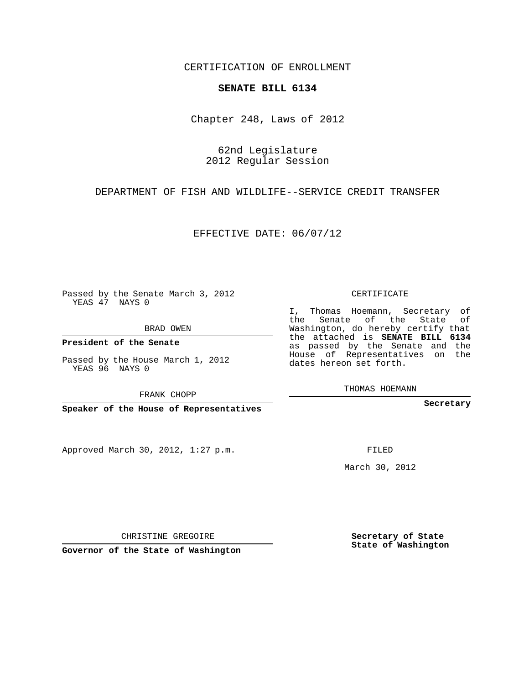CERTIFICATION OF ENROLLMENT

## **SENATE BILL 6134**

Chapter 248, Laws of 2012

62nd Legislature 2012 Regular Session

DEPARTMENT OF FISH AND WILDLIFE--SERVICE CREDIT TRANSFER

EFFECTIVE DATE: 06/07/12

Passed by the Senate March 3, 2012 YEAS 47 NAYS 0

BRAD OWEN

**President of the Senate**

Passed by the House March 1, 2012 YEAS 96 NAYS 0

FRANK CHOPP

**Speaker of the House of Representatives**

Approved March 30, 2012, 1:27 p.m.

CERTIFICATE

I, Thomas Hoemann, Secretary of the Senate of the State of Washington, do hereby certify that the attached is **SENATE BILL 6134** as passed by the Senate and the House of Representatives on the dates hereon set forth.

THOMAS HOEMANN

**Secretary**

FILED

March 30, 2012

**Secretary of State State of Washington**

CHRISTINE GREGOIRE

**Governor of the State of Washington**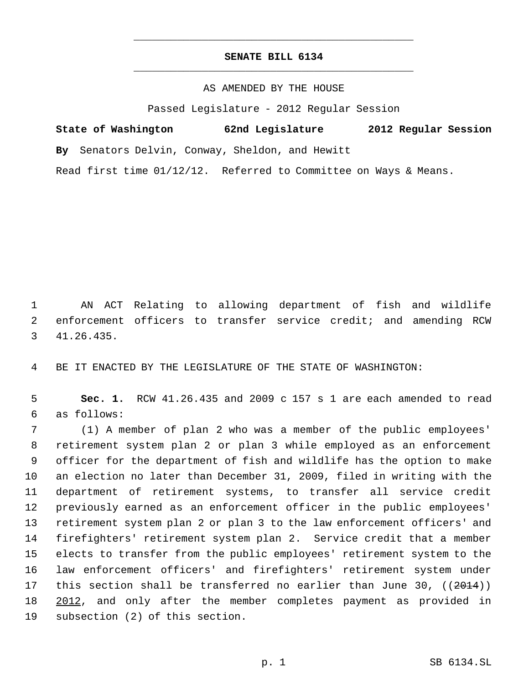## **SENATE BILL 6134** \_\_\_\_\_\_\_\_\_\_\_\_\_\_\_\_\_\_\_\_\_\_\_\_\_\_\_\_\_\_\_\_\_\_\_\_\_\_\_\_\_\_\_\_\_

\_\_\_\_\_\_\_\_\_\_\_\_\_\_\_\_\_\_\_\_\_\_\_\_\_\_\_\_\_\_\_\_\_\_\_\_\_\_\_\_\_\_\_\_\_

AS AMENDED BY THE HOUSE

Passed Legislature - 2012 Regular Session

| State of Washington | 62nd Legislature                                | 2012 Regular Session |
|---------------------|-------------------------------------------------|----------------------|
|                     | By Senators Delvin, Conway, Sheldon, and Hewitt |                      |

Read first time 01/12/12. Referred to Committee on Ways & Means.

 AN ACT Relating to allowing department of fish and wildlife enforcement officers to transfer service credit; and amending RCW 41.26.435.

BE IT ENACTED BY THE LEGISLATURE OF THE STATE OF WASHINGTON:

 **Sec. 1.** RCW 41.26.435 and 2009 c 157 s 1 are each amended to read as follows:

 (1) A member of plan 2 who was a member of the public employees' retirement system plan 2 or plan 3 while employed as an enforcement officer for the department of fish and wildlife has the option to make an election no later than December 31, 2009, filed in writing with the department of retirement systems, to transfer all service credit previously earned as an enforcement officer in the public employees' retirement system plan 2 or plan 3 to the law enforcement officers' and firefighters' retirement system plan 2. Service credit that a member elects to transfer from the public employees' retirement system to the law enforcement officers' and firefighters' retirement system under 17 this section shall be transferred no earlier than June 30, ((2014)) 2012, and only after the member completes payment as provided in subsection (2) of this section.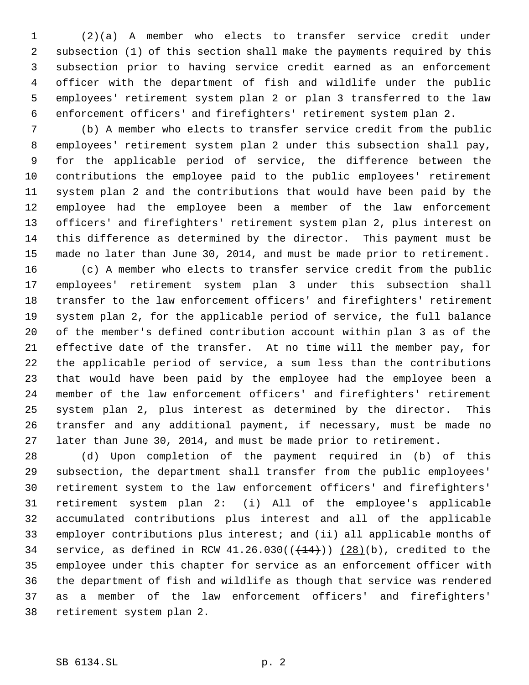(2)(a) A member who elects to transfer service credit under subsection (1) of this section shall make the payments required by this subsection prior to having service credit earned as an enforcement officer with the department of fish and wildlife under the public employees' retirement system plan 2 or plan 3 transferred to the law enforcement officers' and firefighters' retirement system plan 2.

 (b) A member who elects to transfer service credit from the public employees' retirement system plan 2 under this subsection shall pay, for the applicable period of service, the difference between the contributions the employee paid to the public employees' retirement system plan 2 and the contributions that would have been paid by the employee had the employee been a member of the law enforcement officers' and firefighters' retirement system plan 2, plus interest on this difference as determined by the director. This payment must be made no later than June 30, 2014, and must be made prior to retirement.

 (c) A member who elects to transfer service credit from the public employees' retirement system plan 3 under this subsection shall transfer to the law enforcement officers' and firefighters' retirement system plan 2, for the applicable period of service, the full balance of the member's defined contribution account within plan 3 as of the effective date of the transfer. At no time will the member pay, for the applicable period of service, a sum less than the contributions that would have been paid by the employee had the employee been a member of the law enforcement officers' and firefighters' retirement system plan 2, plus interest as determined by the director. This transfer and any additional payment, if necessary, must be made no later than June 30, 2014, and must be made prior to retirement.

 (d) Upon completion of the payment required in (b) of this subsection, the department shall transfer from the public employees' retirement system to the law enforcement officers' and firefighters' retirement system plan 2: (i) All of the employee's applicable accumulated contributions plus interest and all of the applicable employer contributions plus interest; and (ii) all applicable months of 34 service, as defined in RCW  $41.26.030((+14))$   $(28)(b)$ , credited to the employee under this chapter for service as an enforcement officer with the department of fish and wildlife as though that service was rendered as a member of the law enforcement officers' and firefighters' retirement system plan 2.